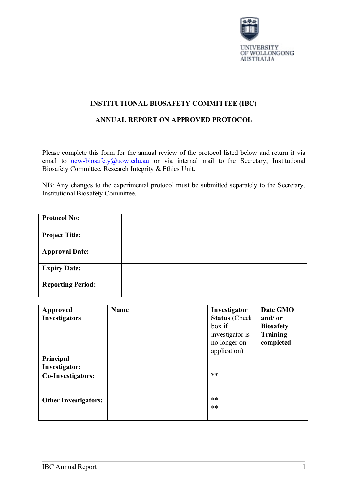

# **INSTITUTIONAL BIOSAFETY COMMITTEE (IBC)**

# **ANNUAL REPORT ON APPROVED PROTOCOL**

Please complete this form for the annual review of the protocol listed below and return it via email to [uow-biosafety@uow.edu.au](mailto:uow-biosafety@uow.edu.au) or via internal mail to the Secretary, Institutional Biosafety Committee, Research Integrity & Ethics Unit.

NB: Any changes to the experimental protocol must be submitted separately to the Secretary, Institutional Biosafety Committee.

| <b>Protocol No:</b>      |  |
|--------------------------|--|
| <b>Project Title:</b>    |  |
| <b>Approval Date:</b>    |  |
| <b>Expiry Date:</b>      |  |
| <b>Reporting Period:</b> |  |

| <b>Approved</b><br>Investigators | Name | Investigator<br><b>Status</b> (Check<br>box if<br>investigator is<br>no longer on<br>application) | Date GMO<br>and/or<br><b>Biosafety</b><br>Training<br>completed |
|----------------------------------|------|---------------------------------------------------------------------------------------------------|-----------------------------------------------------------------|
| Principal<br>Investigator:       |      |                                                                                                   |                                                                 |
| Co-Investigators:                |      | $**$                                                                                              |                                                                 |
| <b>Other Investigators:</b>      |      | $**$<br>$**$                                                                                      |                                                                 |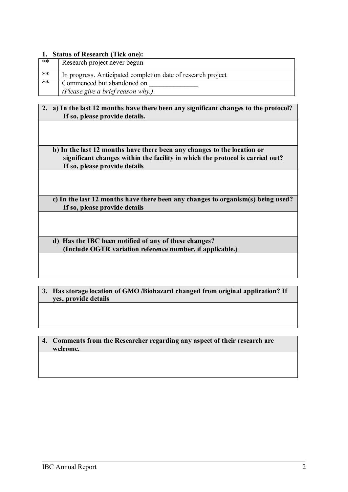#### **1. Status of Research (Tick one):**

| **                | Research project never begun                                 |
|-------------------|--------------------------------------------------------------|
| ∗∗                | In progress. Anticipated completion date of research project |
| $\overline{\ast}$ | Commenced but abandoned on                                   |
|                   | (Please give a brief reason why.)                            |

### **2. a) In the last 12 months have there been any significant changes to the protocol? If so, please provide details.**

### **b) In the last 12 months have there been any changes to the location or significant changes within the facility in which the protocol is carried out? If so, please provide details**

**c) In the last 12 months have there been any changes to organism(s) being used? If so, please provide details**

**d) Has the IBC been notified of any of these changes? (Include OGTR variation reference number, if applicable.)**

**3. Has storage location of GMO /Biohazard changed from original application? If yes, provide details**

**4. Comments from the Researcher regarding any aspect of their research are welcome.**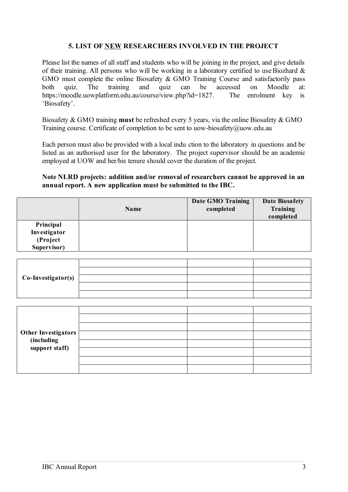## **5. LIST OF NEW RESEARCHERS INVOLVED IN THE PROJECT**

Please list the names of all staff and students who will be joining in the project, and give details of their training. All persons who will be working in a laboratory certified to use Biozhard  $\&$ GMO must complete the online Biosafety & GMO Training Course and satisfactorily pass both quiz. The training and quiz can be accessed on Moodle at: https://moodle.uowplatform.edu.au/course/view.php?id=1827. The enrolment key is 'Biosafety'.

Biosafety & GMO training **must** be refreshed every 5 years, via the online Biosafety & GMO Training course. Certificate of completion to be sent to uow-biosafety@uow.edu.au

Each person must also be provided with a local indu ction to the laboratory in questions and be listed as an authorised user for the laboratory. The project supervisor should be an academic employed at UOW and her/his tenure should cover the duration of the project.

#### **Note NLRD projects: addition and/or removal of researchers cannot be approved in an annual report. A new application must be submitted to the IBC.**

|              | Name | Date GMO Training<br>completed | <b>Date Biosafety</b><br><b>Training</b><br>completed |
|--------------|------|--------------------------------|-------------------------------------------------------|
| Principal    |      |                                |                                                       |
| Investigator |      |                                |                                                       |
| (Project     |      |                                |                                                       |
| Supervisor)  |      |                                |                                                       |

| Co-Investigator(s) |  |  |
|--------------------|--|--|
|                    |  |  |
|                    |  |  |

| Other Investigators<br>(including<br>support staff) |  |  |
|-----------------------------------------------------|--|--|
|                                                     |  |  |
|                                                     |  |  |
|                                                     |  |  |
|                                                     |  |  |
|                                                     |  |  |
|                                                     |  |  |
|                                                     |  |  |